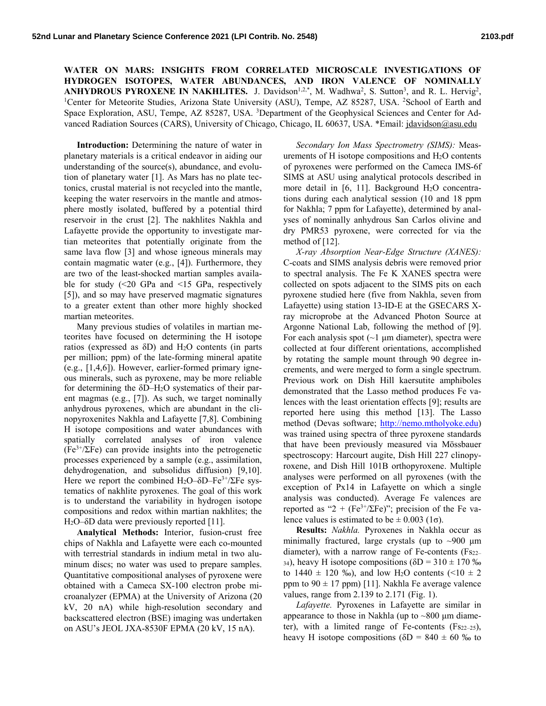**WATER ON MARS: INSIGHTS FROM CORRELATED MICROSCALE INVESTIGATIONS OF HYDROGEN ISOTOPES, WATER ABUNDANCES, AND IRON VALENCE OF NOMINALLY ANHYDROUS PYROXENE IN NAKHLITES.** J. Davidson<sup>1,2,\*</sup>, M. Wadhwa<sup>2</sup>, S. Sutton<sup>3</sup>, and R. L. Hervig<sup>2</sup>, <sup>1</sup>Center for Meteorite Studies, Arizona State University (ASU). Tempe, AZ 85287, USA, <sup>2</sup>School of Earth and Center for Meteorite Studies, Arizona State University (ASU), Tempe, AZ 85287, USA. <sup>2</sup>School of Earth and Space Exploration, ASU, Tempe, AZ 85287, USA. <sup>3</sup>Department of the Geophysical Sciences and Center for Advanced Radiation Sources (CARS), University of Chicago, Chicago, IL 60637, USA. \*Email: jdavidson@asu.edu

**Introduction:** Determining the nature of water in planetary materials is a critical endeavor in aiding our understanding of the source(s), abundance, and evolution of planetary water [1]. As Mars has no plate tectonics, crustal material is not recycled into the mantle, keeping the water reservoirs in the mantle and atmosphere mostly isolated, buffered by a potential third reservoir in the crust [2]. The nakhlites Nakhla and Lafayette provide the opportunity to investigate martian meteorites that potentially originate from the same lava flow [3] and whose igneous minerals may contain magmatic water (e.g., [4]). Furthermore, they are two of the least-shocked martian samples available for study  $\left( \leq 20$  GPa and  $\leq 15$  GPa, respectively [5]), and so may have preserved magmatic signatures to a greater extent than other more highly shocked martian meteorites.

Many previous studies of volatiles in martian meteorites have focused on determining the H isotope ratios (expressed as δD) and H2O contents (in parts per million; ppm) of the late-forming mineral apatite (e.g., [1,4,6]). However, earlier-formed primary igneous minerals, such as pyroxene, may be more reliable for determining the  $\delta$ D–H<sub>2</sub>O systematics of their parent magmas (e.g., [7]). As such, we target nominally anhydrous pyroxenes, which are abundant in the clinopyroxenites Nakhla and Lafayette [7,8]. Combining H isotope compositions and water abundances with spatially correlated analyses of iron valence  $(Fe^{3+}/\Sigma Fe)$  can provide insights into the petrogenetic processes experienced by a sample (e.g., assimilation, dehydrogenation, and subsolidus diffusion) [9,10]. Here we report the combined H<sub>2</sub>O– $\delta$ D–Fe<sup>3+</sup>/ΣFe systematics of nakhlite pyroxenes. The goal of this work is to understand the variability in hydrogen isotope compositions and redox within martian nakhlites; the H<sub>2</sub>O–δD data were previously reported [11].

**Analytical Methods:** Interior, fusion-crust free chips of Nakhla and Lafayette were each co-mounted with terrestrial standards in indium metal in two aluminum discs; no water was used to prepare samples. Quantitative compositional analyses of pyroxene were obtained with a Cameca SX-100 electron probe microanalyzer (EPMA) at the University of Arizona (20 kV, 20 nA) while high-resolution secondary and backscattered electron (BSE) imaging was undertaken on ASU's JEOL JXA-8530F EPMA (20 kV, 15 nA).

*Secondary Ion Mass Spectrometry (SIMS):* Measurements of H isotope compositions and H2O contents of pyroxenes were performed on the Cameca IMS-6f SIMS at ASU using analytical protocols described in more detail in [6, 11]. Background H<sub>2</sub>O concentrations during each analytical session (10 and 18 ppm for Nakhla; 7 ppm for Lafayette), determined by analyses of nominally anhydrous San Carlos olivine and dry PMR53 pyroxene, were corrected for via the method of [12].

*X-ray Absorption Near-Edge Structure (XANES):* C-coats and SIMS analysis debris were removed prior to spectral analysis. The Fe K XANES spectra were collected on spots adjacent to the SIMS pits on each pyroxene studied here (five from Nakhla, seven from Lafayette) using station 13-ID-E at the GSECARS Xray microprobe at the Advanced Photon Source at Argonne National Lab, following the method of [9]. For each analysis spot  $(-1 \mu m)$  diameter), spectra were collected at four different orientations, accomplished by rotating the sample mount through 90 degree increments, and were merged to form a single spectrum. Previous work on Dish Hill kaersutite amphiboles demonstrated that the Lasso method produces Fe valences with the least orientation effects [9]; results are reported here using this method [13]. The Lasso method (Devas software; http://nemo.mtholyoke.edu) was trained using spectra of three pyroxene standards that have been previously measured via Mössbauer spectroscopy: Harcourt augite, Dish Hill 227 clinopyroxene, and Dish Hill 101B orthopyroxene. Multiple analyses were performed on all pyroxenes (with the exception of Px14 in Lafayette on which a single analysis was conducted). Average Fe valences are reported as "2 + (Fe<sup>3+</sup>/ΣFe)"; precision of the Fe valence values is estimated to be  $\pm$  0.003 (1 $\sigma$ ).

**Results:** *Nakhla.* Pyroxenes in Nakhla occur as minimally fractured, large crystals (up to  $\sim$ 900 µm diameter), with a narrow range of Fe-contents (Fs22– 34), heavy H isotope compositions ( $\delta D = 310 \pm 170$  ‰ to  $1440 \pm 120$  ‰), and low H<sub>2</sub>O contents (<10  $\pm$  2 ppm to  $90 \pm 17$  ppm) [11]. Nakhla Fe average valence values, range from 2.139 to 2.171 (Fig. 1).

*Lafayette.* Pyroxenes in Lafayette are similar in appearance to those in Nakhla (up to  $\sim 800$  µm diameter), with a limited range of Fe-contents  $(Fs_{22-25})$ , heavy H isotope compositions ( $\delta D = 840 \pm 60$  % to